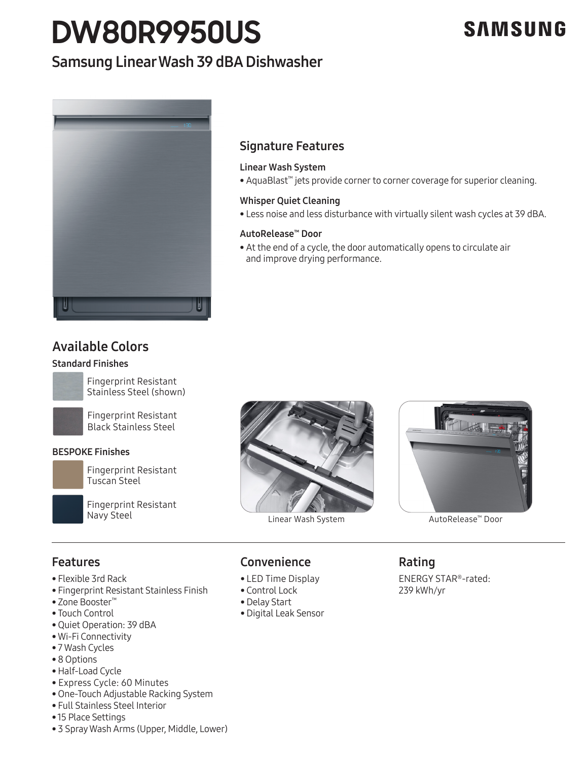# **DW80R9950US**

# **SAMSUNG**

# Samsung Linear Wash 39 dBA Dishwasher



## Signature Features

### Linear Wash System

• AquaBlast™ jets provide corner to corner coverage for superior cleaning.

### Whisper Quiet Cleaning

• Less noise and less disturbance with virtually silent wash cycles at 39 dBA.

### AutoRelease™ Door

• At the end of a cycle, the door automatically opens to circulate air and improve drying performance.

# Available Colors

### Standard Finishes



Fingerprint Resistant<br>Stainless Steel (shown) Fingerprint Resistant



Fingerprint Resistant Black Stainless Steel Black Stainless Steel

### BESPOKE Finishes



Tuscan Steel

Fingerprint Resistant Navy Steel







AutoRelease™ Door

### Features

- Flexible 3rd Rack
- Flexible 3rd Rack<br>• Fingerprint Resistant Stainless Finish
- Zone Booster™
- Touch Control
- Quiet Operation: 39 dBA
- Quiet Operation: 59 dBA<br>• Wi-Fi Connectivity<br>• 7 Wash Cycles
- 7 Wash Cycles
- 8 Options
- Half-Load Cycle
- Express Cycle: 60 Minutes
- One-Touch Adjustable Racking System
- Full Stainless Steel Interior
- 15 Place Settings
- 3 Spray Wash Arms (Upper, Middle, Lower)

# en and Convenience

- LED Time Display
- Control Lock
- Delay Start
- Digital Leak Sensor

### Rating

ENERGY STAR®-rated: 239 kWh/yr